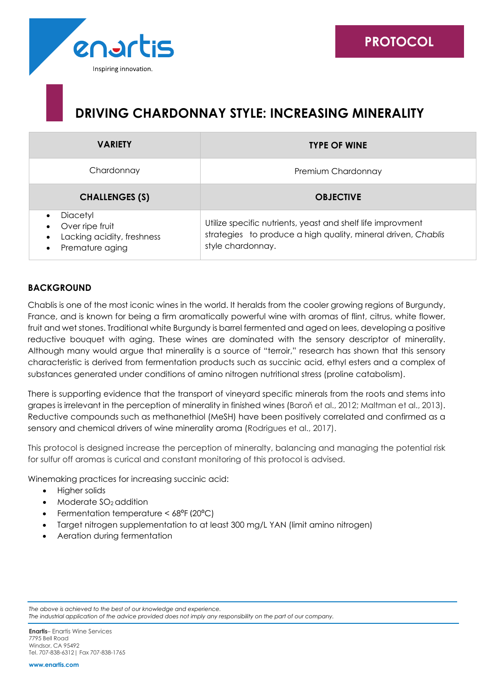# **DRIVING CHARDONNAY STYLE: INCREASING MINERALITY**

| <b>VARIETY</b>                                                                            | <b>TYPE OF WINE</b>                                                                                                                               |
|-------------------------------------------------------------------------------------------|---------------------------------------------------------------------------------------------------------------------------------------------------|
| Chardonnay                                                                                | Premium Chardonnay                                                                                                                                |
| <b>CHALLENGES (S)</b>                                                                     | <b>OBJECTIVE</b>                                                                                                                                  |
| Diacetyl<br>Over ripe fruit<br>$\bullet$<br>Lacking acidity, freshness<br>Premature aging | Utilize specific nutrients, yeast and shelf life improvment<br>strategies to produce a high quality, mineral driven, Chablis<br>style chardonnay. |

## **BACKGROUND**

Chablis is one of the most iconic wines in the world. It heralds from the cooler growing regions of Burgundy, France, and is known for being a firm aromatically powerful wine with aromas of flint, citrus, white flower, fruit and wet stones. Traditional white Burgundy is barrel fermented and aged on lees, developing a positive reductive bouquet with aging. These wines are dominated with the sensory descriptor of minerality. Although many would argue that minerality is a source of "terroir," research has shown that this sensory characteristic is derived from fermentation products such as succinic acid, ethyl esters and a complex of substances generated under conditions of amino nitrogen nutritional stress (proline catabolism).

There is supporting evidence that the transport of vineyard specific minerals from the roots and stems into grapes is irrelevant in the perception of minerality in finished wines (Baroň et al., 2012; Maltman et al., 2013). Reductive compounds such as methanethiol (MeSH) have been positively correlated and confirmed as a sensory and chemical drivers of wine minerality aroma (Rodrigues et al., 2017).

This protocol is designed increase the perception of mineralty, balancing and managing the potential risk for sulfur off aromas is curical and constant monitoring of this protocol is advised.

Winemaking practices for increasing succinic acid:

- Higher solids
- Moderate  $SO<sub>2</sub>$  addition
- Fermentation temperature < 68°F (20°C)
- Target nitrogen supplementation to at least 300 mg/L YAN (limit amino nitrogen)
- Aeration during fermentation

*The above is achieved to the best of our knowledge and experience.*

*The industrial application of the advice provided does not imply any responsibility on the part of our company.*